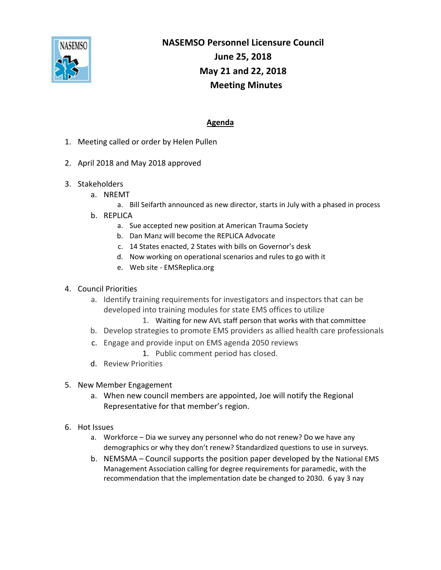

## **NASEMSO Personnel Licensure Council June 25, 2018 May 21 and 22, 2018 Meeting Minutes**

## **Agenda**

- 1. Meeting called or order by Helen Pullen
- 2. April 2018 and May 2018 approved
- 3. Stakeholders
	- a. NREMT
		- a. Bill Seifarth announced as new director, starts in July with a phased in process
	- b. REPLICA
		- a. Sue accepted new position at American Trauma Society
		- b. Dan Manz will become the REPLICA Advocate
		- c. 14 States enacted, 2 States with bills on Governor's desk
		- d. Now working on operational scenarios and rules to go with it
		- e. Web site ‐ EMSReplica.org

## 4. Council Priorities

- a. Identify training requirements for investigators and inspectors that can be developed into training modules for state EMS offices to utilize
	- 1. Waiting for new AVL staff person that works with that committee
- b. Develop strategies to promote EMS providers as allied health care professionals
- c. Engage and provide input on EMS agenda 2050 reviews
	- 1. Public comment period has closed.
- d. Review Priorities

## 5. New Member Engagement

- a. When new council members are appointed, Joe will notify the Regional Representative for that member's region.
- 6. Hot Issues
	- a. Workforce Dia we survey any personnel who do not renew? Do we have any demographics or why they don't renew? Standardized questions to use in surveys.
	- b. NEMSMA Council supports the position paper developed by the National EMS Management Association calling for degree requirements for paramedic, with the recommendation that the implementation date be changed to 2030. 6 yay 3 nay